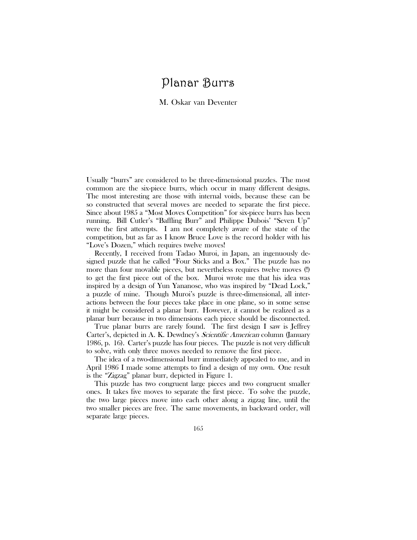## Planar Burrs

M. Oskar van Deventer

Usually "burrs" are considered to be three-dimensional puzzles. The most common are the six-piece burrs, which occur in many different designs. The most interesting are those with internal voids, because these can be so constructed that several moves are needed to separate the first piece. Since about 1985 a "Most Moves Competition" for six-piece burrs has been running. Bill Cutler's "Baffling Burr" and Philippe Dubois' "Seven Up" were the first attempts. I am not completely aware of the state of the competition, but as far as I know Bruce Love is the record holder with his "Love's Dozen," which requires twelve moves!

Recently, I received from Tadao Muroi, in Japan, an ingenuously designed puzzle that he called "Four Sticks and a Box." The puzzle has no more than four movable pieces, but nevertheless requires twelve moves (!) to get the first piece out of the box. Muroi wrote me that his idea was inspired by a design of Yun Yananose, who was inspired by "Dead Lock," a puzzle of mine. Though Muroi's puzzle is three-dimensional, all interactions between the four pieces take place in one plane, so in some sense it might be considered a planar burr. However, it cannot be realized as a planar burr because in two dimensions each piece should be disconnected.

True planar burrs are rarely found. The first design I saw is Jeffrey Carter's, depicted in A. K. Dewdney's Scientific American column (January 1986, p. 16). Carter's puzzle has four pieces. The puzzle is not very difficult to solve, with only three moves needed to remove the first piece.

The idea of a two-dimensional burr immediately appealed to me, and in April 1986 I made some attempts to find a design of my own. One result is the "Zigzag" planar burr, depicted in Figure 1.

This puzzle has two congruent large pieces and two congruent smaller ones. It takes five moves to separate the first piece. To solve the puzzle, the two large pieces move into each other along a zigzag line, until the two smaller pieces are free. The same movements, in backward order, will separate large pieces.

165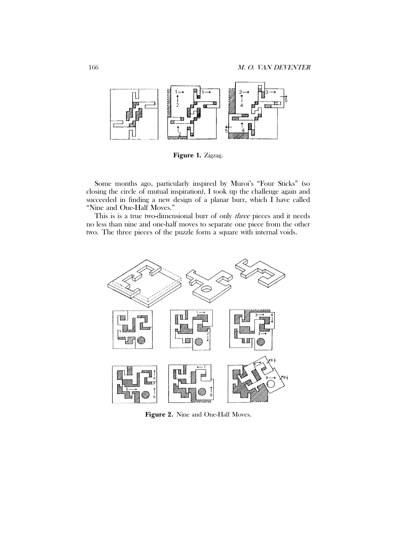

**Figure 1.** Zigzag.

Some months ago, particularly inspired by Muroi's "Four Sticks" (so closing the circle of mutual inspiration), I took up the challenge again and succeeded in finding a new design of a planar burr, which I have called "Nine and One-Half Moves."

This is is a true two-dimensional burr of only *three* pieces and it needs no less than nine and one-half moves to separate one piece from the other two. The three pieces of the puzzle form a square with internal voids.



**Figure 2.** Nine and One-Half Moves.